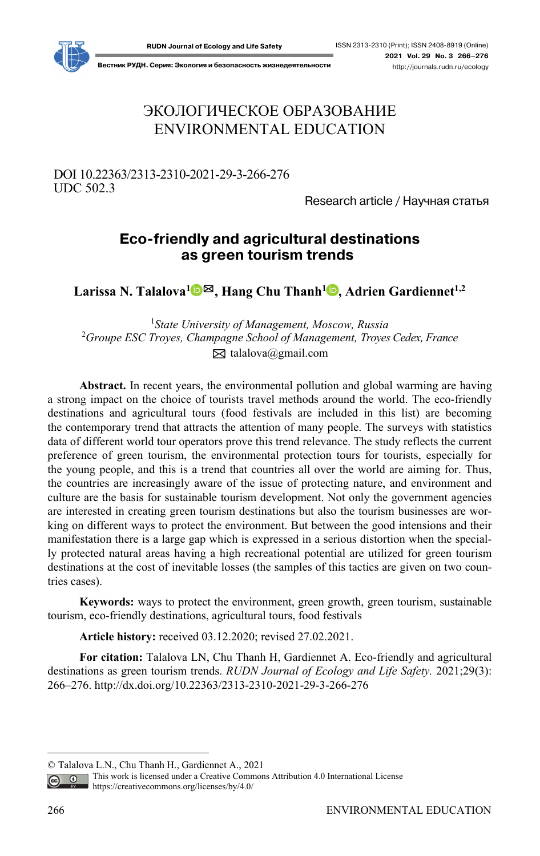

**Вестник РУДН. Серия: Экология и безопасность жизнедеятельности** http://journals.rudn.ru/ecology

# ЭКОЛОГИЧЕСКОЕ ОБРАЗОВАНИЕ ENVIRONMENTAL EDUCATION

## DOI 10.22363/2313-2310-2021-29-3-266-276 UDC 502.3

Research article / Научная статья

## **Eco-friendly and agricultural destinations as green tourism trends1**

**Larissa N. Talalova[1](https://orcid.org/0000-0003-1380-2339)** ✉**, Hang Chu Thanh1 , Adrien Gardiennet1,2**

1 *State University of Management, Moscow, Russia*  2 *Groupe ESC Troyes, Champagne School of Management, Troyes Cedex, France*   $\boxtimes$  talalova@gmail.com

**Abstract.** In recent years, the environmental pollution and global warming are having a strong impact on the choice of tourists travel methods around the world. The eco-friendly destinations and agricultural tours (food festivals are included in this list) are becoming the contemporary trend that attracts the attention of many people. The surveys with statistics data of different world tour operators prove this trend relevance. The study reflects the current preference of green tourism, the environmental protection tours for tourists, especially for the young people, and this is a trend that countries all over the world are aiming for. Thus, the countries are increasingly aware of the issue of protecting nature, and environment and culture are the basis for sustainable tourism development. Not only the government agencies are interested in creating green tourism destinations but also the tourism businesses are working on different ways to protect the environment. But between the good intensions and their manifestation there is a large gap which is expressed in a serious distortion when the specially protected natural areas having a high recreational potential are utilized for green tourism destinations at the cost of inevitable losses (the samples of this tactics are given on two countries cases).

**Keywords:** ways to protect the environment, green growth, green tourism, sustainable tourism, eco-friendly destinations, agricultural tours, food festivals

**Article history:** received 03.12.2020; revised 27.02.2021.

**For citation:** Talalova LN, Chu Thanh H, Gardiennet A. Eco-friendly and agricultural destinations as green tourism trends. *RUDN Journal of Ecology and Life Safety.* 2021;29(3): 266–276. http://dx.doi.org/10.22363/2313-2310-2021-29-3-266-276

<sup>©</sup> Talalova L.N., Chu Thanh H., Gardiennet A., 2021

This work is licensed under a Creative Commons Attribution 4.0 International License  $\overline{G}$ https://creativecommons.org/licenses/by/4.0/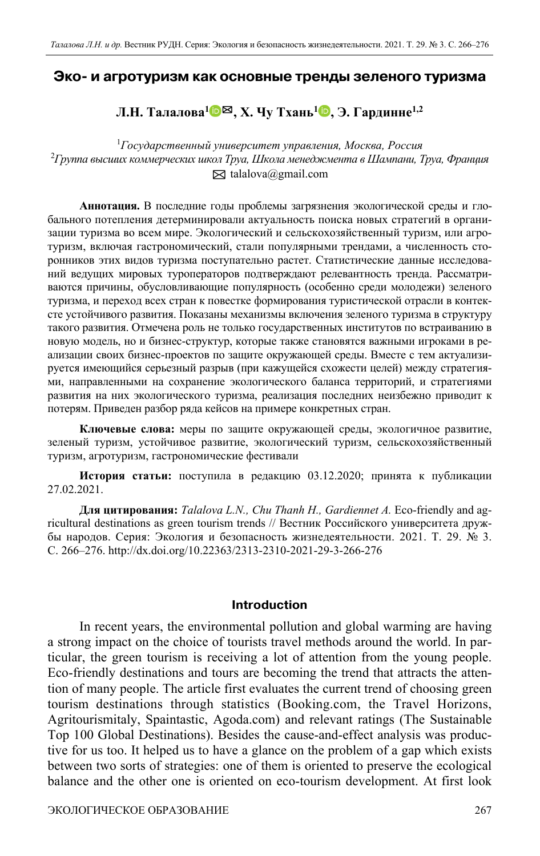### **Эко и агротуризм как основные тренды зеленого туризма**

## **Л.Н. Талалова1** [✉](https://orcid.org/0000-0003-1380-2339)**, Х. Чу Тхань1 [,](https://orcid.org/0000-0001-7373-6957) Э. Гардинне1,2**

1 *Государственный университет управления, Москва, Россия* 2 *Группа высших коммерческих школ Труа, Школа менеджмента в Шампани, Труа, Франция*  $\boxtimes$  talalova@gmail.com

**Аннотация.** В последние годы проблемы загрязнения экологической среды и глобального потепления детерминировали актуальность поиска новых стратегий в организации туризма во всем мире. Экологический и сельскохозяйственный туризм, или агротуризм, включая гастрономический, стали популярными трендами, а численность сторонников этих видов туризма поступательно растет. Статистические данные исследований ведущих мировых туроператоров подтверждают релевантность тренда. Рассматриваются причины, обусловливающие популярность (особенно среди молодежи) зеленого туризма, и переход всех стран к повестке формирования туристической отрасли в контексте устойчивого развития. Показаны механизмы включения зеленого туризма в структуру такого развития. Отмечена роль не только государственных институтов по встраиванию в новую модель, но и бизнес-структур, которые также становятся важными игроками в реализации своих бизнес-проектов по защите окружающей среды. Вместе с тем актуализируется имеющийся серьезный разрыв (при кажущейся схожести целей) между стратегиями, направленными на сохранение экологического баланса территорий, и стратегиями развития на них экологического туризма, реализация последних неизбежно приводит к потерям. Приведен разбор ряда кейсов на примере конкретных стран.

**Ключевые слова:** меры по защите окружающей среды, экологичное развитие, зеленый туризм, устойчивое развитие, экологический туризм, сельскохозяйственный туризм, агротуризм, гастрономические фестивали

**История статьи:** поступила в редакцию 03.12.2020; принята к публикации 27.02.2021.

**Для цитирования:** *Talalova L.N., Chu Thanh H., Gardiennet A.* Eco-friendly and agricultural destinations as green tourism trends // Вестник Российского университета дружбы народов. Серия: Экология и безопасность жизнедеятельности. 2021. Т. 29. № 3. С. 266–276. http://dx.doi.org/10.22363/2313-2310-2021-29-3-266-276

#### **Introduction**

In recent years, the environmental pollution and global warming are having a strong impact on the choice of tourists travel methods around the world. In particular, the green tourism is receiving a lot of attention from the young people. Eco-friendly destinations and tours are becoming the trend that attracts the attention of many people. The article first evaluates the current trend of choosing green tourism destinations through statistics (Booking.com, the Travel Horizons, Agritourismitaly, Spaintastic, Agoda.com) and relevant ratings (The Sustainable Top 100 Global Destinations). Besides the cause-and-effect analysis was productive for us too. It helped us to have a glance on the problem of a gap which exists between two sorts of strategies: one of them is oriented to preserve the ecological balance and the other one is oriented on eco-tourism development. At first look

ЭКОЛОГИЧЕСКОЕ ОБРАЗОВАНИЕ 267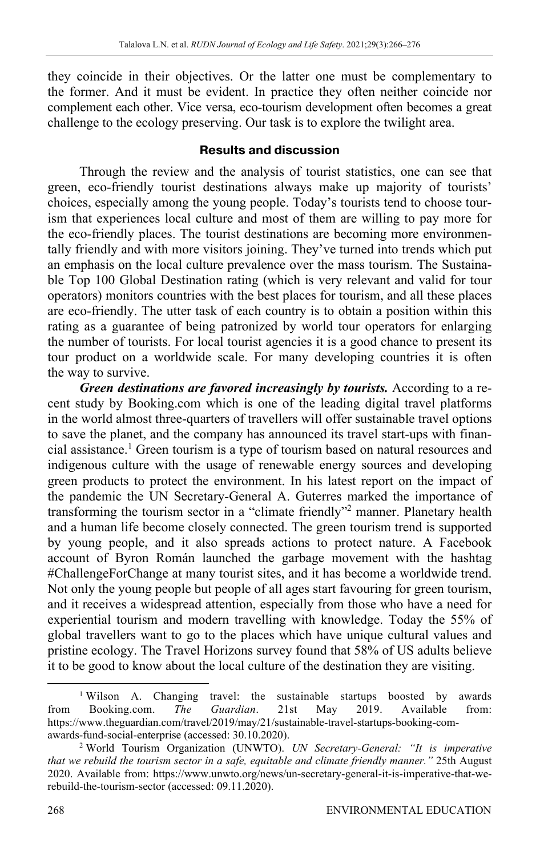they coincide in their objectives. Or the latter one must be complementary to the former. And it must be evident. In practice they often neither coincide nor complement each other. Vice versa, eco-tourism development often becomes a great challenge to the ecology preserving. Our task is to explore the twilight area.

## **Results and discussion**

Through the review and the analysis of tourist statistics, one can see that green, eco-friendly tourist destinations always make up majority of tourists' choices, especially among the young people. Today's tourists tend to choose tourism that experiences local culture and most of them are willing to pay more for the eco-friendly places. The tourist destinations are becoming more environmentally friendly and with more visitors joining. They've turned into trends which put an emphasis on the local culture prevalence over the mass tourism. The Sustainable Top 100 Global Destination rating (which is very relevant and valid for tour operators) monitors countries with the best places for tourism, and all these places are eco-friendly. The utter task of each country is to obtain a position within this rating as a guarantee of being patronized by world tour operators for enlarging the number of tourists. For local tourist agencies it is a good chance to present its tour product on a worldwide scale. For many developing countries it is often the way to survive.

*Green destinations are favored increasingly by tourists.* According to a recent study by Booking.com which is one of the leading digital travel platforms in the world almost three-quarters of travellers will offer sustainable travel options to save the planet, and the company has announced its travel start-ups with financial assistance.<sup>1</sup> Green tourism is a type of tourism based on natural resources and indigenous culture with the usage of renewable energy sources and developing green products to protect the environment. In his latest report on the impact of the pandemic the UN Secretary-General A. Guterres marked the importance of transforming the tourism sector in a "climate friendly"<sup>2</sup> manner. Planetary health and a human life become closely connected. The green tourism trend is supported by young people, and it also spreads actions to protect nature. A Facebook account of Byron Román launched the garbage movement with the hashtag #ChallengeForChange at many tourist sites, and it has become a worldwide trend. Not only the young people but people of all ages start favouring for green tourism, and it receives a widespread attention, especially from those who have a need for experiential tourism and modern travelling with knowledge. Today the 55% of global travellers want to go to the places which have unique cultural values and pristine ecology. The Travel Horizons survey found that 58% of US adults believe it to be good to know about the local culture of the destination they are visiting.

<sup>&</sup>lt;sup>1</sup> Wilson A. Changing travel: the sustainable startups boosted by awards from Booking.com. *The Guardian*. 21st May 2019. Available from: https://www.theguardian.com/travel/2019/may/21/sustainable-travel-startups-booking-comawards-fund-social-enterprise (accessed: 30.10.2020).

World Tourism Organization (UNWTO). *UN Secretary-General: "It is imperative that we rebuild the tourism sector in a safe, equitable and climate friendly manner."* 25th August 2020. Available from: https://www.unwto.org/news/un-secretary-general-it-is-imperative-that-werebuild-the-tourism-sector (accessed: 09.11.2020).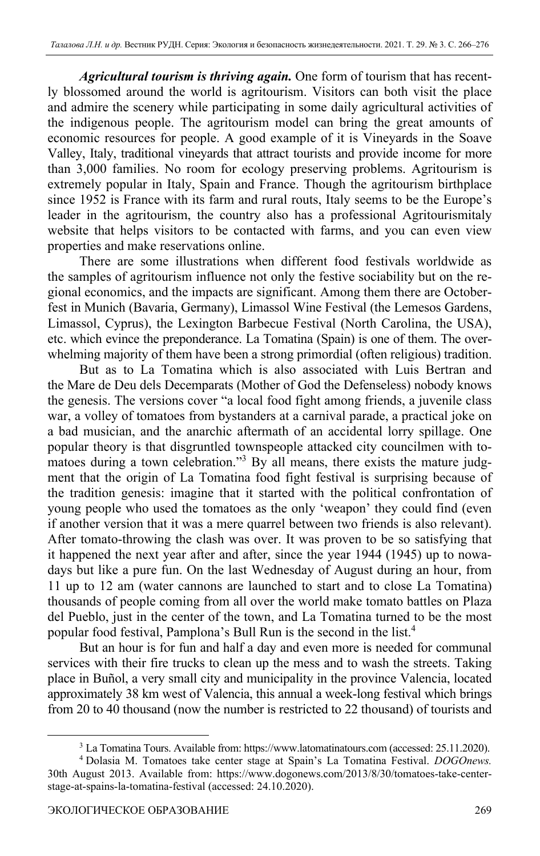*Agricultural tourism is thriving again.* One form of tourism that has recently blossomed around the world is agritourism. Visitors can both visit the place and admire the scenery while participating in some daily agricultural activities of the indigenous people. The agritourism model can bring the great amounts of economic resources for people. A good example of it is Vineyards in the Soave Valley, Italy, traditional vineyards that attract tourists and provide income for more than 3,000 families. No room for ecology preserving problems. Agritourism is extremely popular in Italy, Spain and France. Though the agritourism birthplace since 1952 is France with its farm and rural routs, Italy seems to be the Europe's leader in the agritourism, the country also has a professional Agritourismitaly website that helps visitors to be contacted with farms, and you can even view properties and make reservations online.

There are some illustrations when different food festivals worldwide as the samples of agritourism influence not only the festive sociability but on the regional economics, and the impacts are significant. Among them there are Octoberfest in Munich (Bavaria, Germany), Limassol Wine Festival (the Lemesos Gardens, Limassol, Cyprus), the Lexington Barbecue Festival (North Carolina, the USA), etc. which evince the preponderance. La Tomatina (Spain) is one of them. The overwhelming majority of them have been a strong primordial (often religious) tradition.

But as to La Tomatina which is also associated with Luis Bertran and the Mare de Deu dels Decemparats (Mother of God the Defenseless) nobody knows the genesis. The versions cover "a local food fight among friends, a juvenile class war, a volley of tomatoes from bystanders at a carnival parade, a practical joke on a bad musician, and the anarchic aftermath of an accidental lorry spillage. One popular theory is that disgruntled townspeople attacked city councilmen with tomatoes during a town celebration."<sup>3</sup> By all means, there exists the mature judgment that the origin of La Tomatina food fight festival is surprising because of the tradition genesis: imagine that it started with the political confrontation of young people who used the tomatoes as the only 'weapon' they could find (even if another version that it was a mere quarrel between two friends is also relevant). After tomato-throwing the clash was over. It was proven to be so satisfying that it happened the next year after and after, since the year 1944 (1945) up to nowadays but like a pure fun. On the last Wednesday of August during an hour, from 11 up to 12 am (water cannons are launched to start and to close La Tomatina) thousands of people coming from all over the world make tomato battles on Plaza del Pueblo, just in the center of the town, and La Tomatina turned to be the most popular food festival, Pamplona's Bull Run is the second in the list.4

But an hour is for fun and half a day and even more is needed for communal services with their fire trucks to clean up the mess and to wash the streets. Taking place in Buñol, a very small city and municipality in the province Valencia, located approximately 38 km west of Valencia, this annual a week-long festival which brings from 20 to 40 thousand (now the number is restricted to 22 thousand) of tourists and

<sup>&</sup>lt;sup>3</sup> La Tomatina Tours. Available from: https://www.latomatinatours.com (accessed: 25.11.2020).<br><sup>4</sup> Dolasia M. Tomatoes take center stage at Spain's La Tomatina Eestival. *DOGOnews*.

Dolasia M. Tomatoes take center stage at Spain's La Tomatina Festival. *DOGOnews.* 30th August 2013. Available from: https://www.dogonews.com/2013/8/30/tomatoes-take-centerstage-at-spains-la-tomatina-festival (accessed: 24.10.2020).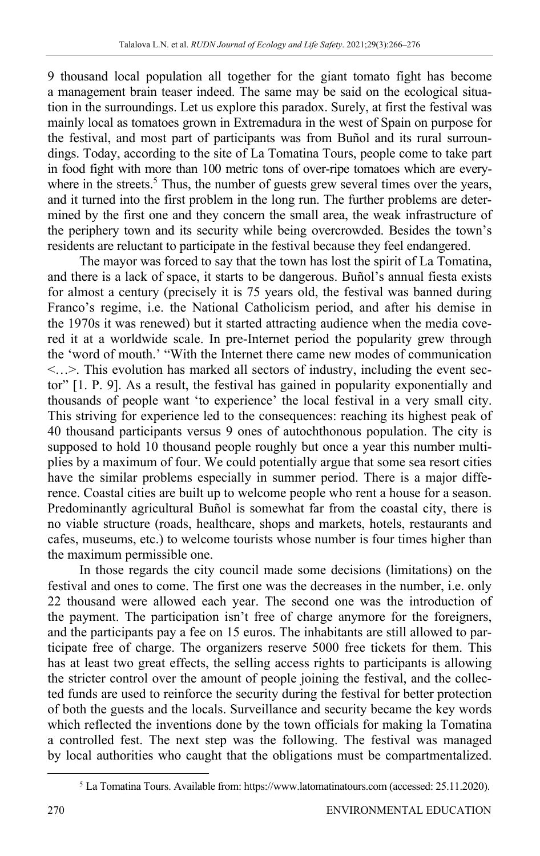9 thousand local population all together for the giant tomato fight has become a management brain teaser indeed. The same may be said on the ecological situation in the surroundings. Let us explore this paradox. Surely, at first the festival was mainly local as tomatoes grown in Extremadura in the west of Spain on purpose for the festival, and most part of participants was from Buñol and its rural surroundings. Today, according to the site of La Tomatina Tours, people come to take part in food fight with more than 100 metric tons of over-ripe tomatoes which are everywhere in the streets.<sup>5</sup> Thus, the number of guests grew several times over the years, and it turned into the first problem in the long run. The further problems are determined by the first one and they concern the small area, the weak infrastructure of the periphery town and its security while being overcrowded. Besides the town's residents are reluctant to participate in the festival because they feel endangered.

The mayor was forced to say that the town has lost the spirit of La Tomatina, and there is a lack of space, it starts to be dangerous. Buñol's annual fiesta exists for almost a century (precisely it is 75 years old, the festival was banned during Franco's regime, i.e. the National Catholicism period, and after his demise in the 1970s it was renewed) but it started attracting audience when the media covered it at a worldwide scale. In pre-Internet period the popularity grew through the 'word of mouth.' "With the Internet there came new modes of communication <…>. This evolution has marked all sectors of industry, including the event sector" [1. P. 9]. As a result, the festival has gained in popularity exponentially and thousands of people want 'to experience' the local festival in a very small city. This striving for experience led to the consequences: reaching its highest peak of 40 thousand participants versus 9 ones of autochthonous population. The city is supposed to hold 10 thousand people roughly but once a year this number multiplies by a maximum of four. We could potentially argue that some sea resort cities have the similar problems especially in summer period. There is a major difference. Coastal cities are built up to welcome people who rent a house for a season. Predominantly agricultural Buñol is somewhat far from the coastal city, there is no viable structure (roads, healthcare, shops and markets, hotels, restaurants and cafes, museums, etc.) to welcome tourists whose number is four times higher than the maximum permissible one.

In those regards the city council made some decisions (limitations) on the festival and ones to come. The first one was the decreases in the number, i.e. only 22 thousand were allowed each year. The second one was the introduction of the payment. The participation isn't free of charge anymore for the foreigners, and the participants pay a fee on 15 euros. The inhabitants are still allowed to participate free of charge. The organizers reserve 5000 free tickets for them. This has at least two great effects, the selling access rights to participants is allowing the stricter control over the amount of people joining the festival, and the collected funds are used to reinforce the security during the festival for better protection of both the guests and the locals. Surveillance and security became the key words which reflected the inventions done by the town officials for making la Tomatina a controlled fest. The next step was the following. The festival was managed by local authorities who caught that the obligations must be compartmentalized.

<sup>&</sup>lt;sup>5</sup> La Tomatina Tours. Available from: https://www.latomatinatours.com (accessed: 25.11.2020).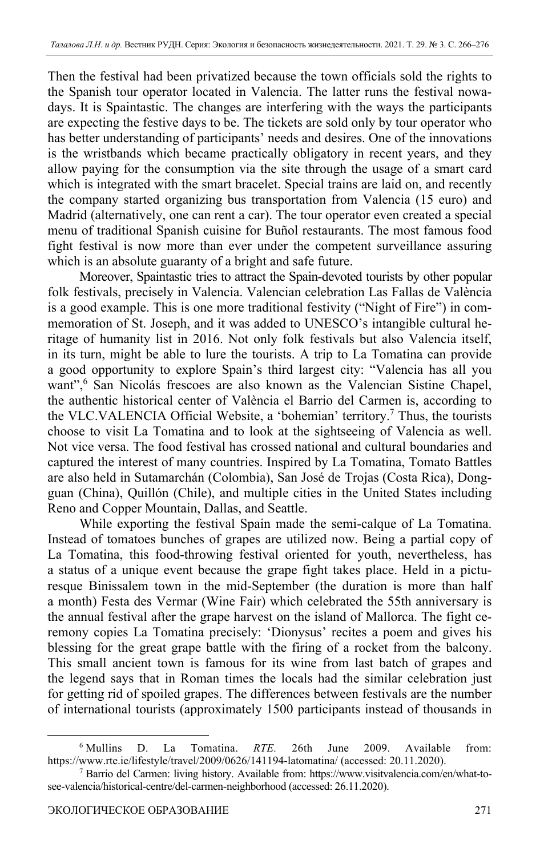Then the festival had been privatized because the town officials sold the rights to the Spanish tour operator located in Valencia. The latter runs the festival nowadays. It is Spaintastic. The changes are interfering with the ways the participants are expecting the festive days to be. The tickets are sold only by tour operator who has better understanding of participants' needs and desires. One of the innovations is the wristbands which became practically obligatory in recent years, and they allow paying for the consumption via the site through the usage of a smart card which is integrated with the smart bracelet. Special trains are laid on, and recently the company started organizing bus transportation from Valencia (15 euro) and Madrid (alternatively, one can rent a car). The tour operator even created a special menu of traditional Spanish cuisine for Buñol restaurants. The most famous food fight festival is now more than ever under the competent surveillance assuring which is an absolute guaranty of a bright and safe future.

Moreover, Spaintastic tries to attract the Spain-devoted tourists by other popular folk festivals, precisely in Valencia. Valencian celebration Las Fallas de València is a good example. This is one more traditional festivity ("Night of Fire") in commemoration of St. Joseph, and it was added to UNESCO's intangible cultural heritage of humanity list in 2016. Not only folk festivals but also Valencia itself, in its turn, might be able to lure the tourists. A trip to La Tomatina can provide a good opportunity to explore Spain's third largest city: "Valencia has all you want",<sup>6</sup> San Nicolás frescoes are also known as the Valencian Sistine Chapel, the authentic historical center of València el Barrio del Carmen is, according to the VLC.VALENCIA Official Website, a 'bohemian' territory.7 Thus, the tourists choose to visit La Tomatina and to look at the sightseeing of Valencia as well. Not vice versa. The food festival has crossed national and cultural boundaries and captured the interest of many countries. Inspired by La Tomatina, Tomato Battles are also held in Sutamarchán (Colombia), San José de Trojas (Costa Rica), Dongguan (China), Quillón (Chile), and multiple cities in the United States including Reno and Copper Mountain, Dallas, and Seattle.

While exporting the festival Spain made the semi-calque of La Tomatina. Instead of tomatoes bunches of grapes are utilized now. Being a partial copy of La Tomatina, this food-throwing festival oriented for youth, nevertheless, has a status of a unique event because the grape fight takes place. Held in a picturesque Binissalem town in the mid-September (the duration is more than half a month) Festa des Vermar (Wine Fair) which celebrated the 55th anniversary is the annual festival after the grape harvest on the island of Mallorca. The fight ceremony copies La Tomatina precisely: 'Dionysus' recites a poem and gives his blessing for the great grape battle with the firing of a rocket from the balcony. This small ancient town is famous for its wine from last batch of grapes and the legend says that in Roman times the locals had the similar celebration just for getting rid of spoiled grapes. The differences between festivals are the number of international tourists (approximately 1500 participants instead of thousands in

<sup>&</sup>lt;sup>6</sup> Mullins D. La Tomatina. *RTE*. 26th June 2009. Available from: https://www.rte.ie/lifestyle/travel/2009/0626/141194-latomatina/ (accessed: 20.11.2020). 7

Barrio del Carmen: living history. Available from: https://www.visitvalencia.com/en/what-tosee-valencia/historical-centre/del-carmen-neighborhood (accessed: 26.11.2020).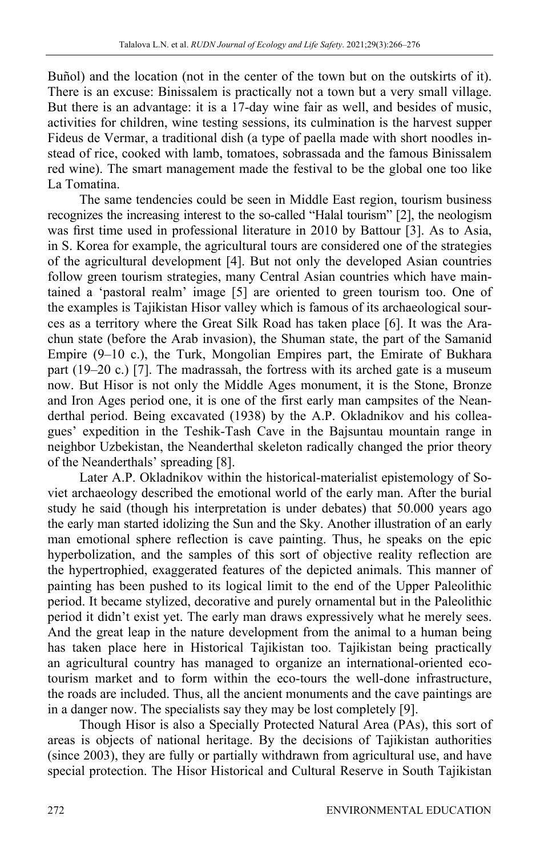Buñol) and the location (not in the center of the town but on the outskirts of it). There is an excuse: Binissalem is practically not a town but a very small village. But there is an advantage: it is a 17-day wine fair as well, and besides of music, activities for children, wine testing sessions, its culmination is the harvest supper Fideus de Vermar, a traditional dish (a type of paella made with short noodles instead of rice, cooked with lamb, tomatoes, sobrassada and the famous Binissalem red wine). The smart management made the festival to be the global one too like La Tomatina.

The same tendencies could be seen in Middle East region, tourism business recognizes the increasing interest to the so-called "Halal tourism" [2], the neologism was first time used in professional literature in 2010 by Battour [3]. As to Asia, in S. Korea for example, the agricultural tours are considered one of the strategies of the agricultural development [4]. But not only the developed Asian countries follow green tourism strategies, many Central Asian countries which have maintained a 'pastoral realm' image [5] are oriented to green tourism too. One of the examples is Tajikistan Hisor valley which is famous of its archaeological sources as a territory where the Great Silk Road has taken place [6]. It was the Arachun state (before the Arab invasion), the Shuman state, the part of the Samanid Empire (9–10 c.), the Turk, Mongolian Empires part, the Emirate of Bukhara part (19–20 c.) [7]. The madrassah, the fortress with its arched gate is a museum now. But Hisor is not only the Middle Ages monument, it is the Stone, Bronze and Iron Ages period one, it is one of the first early man campsites of the Neanderthal period. Being excavated (1938) by the A.P. Okladnikov and his colleagues' expedition in the Teshik-Tash Сave in the Bajsuntau mountain range in neighbor Uzbekistan, the Neanderthal skeleton radically changed the prior theory of the Neanderthals' spreading [8].

Later A.P. Okladnikov within the historical-materialist epistemology of Soviet archaeology described the emotional world of the early man. After the burial study he said (though his interpretation is under debates) that 50.000 years ago the early man started idolizing the Sun and the Sky. Another illustration of an early man emotional sphere reflection is cave painting. Thus, he speaks on the epic hyperbolization, and the samples of this sort of objective reality reflection are the hypertrophied, exaggerated features of the depicted animals. This manner of painting has been pushed to its logical limit to the end of the Upper Paleolithic period. It became stylized, decorative and purely ornamental but in the Paleolithic period it didn't exist yet. The early man draws expressively what he merely sees. And the great leap in the nature development from the animal to a human being has taken place here in Historical Tajikistan too. Tajikistan being practically an agricultural country has managed to organize an international-oriented ecotourism market and to form within the eco-tours the well-done infrastructure, the roads are included. Thus, all the ancient monuments and the cave paintings are in a danger now. The specialists say they may be lost completely [9].

Though Hisor is also a Specially Protected Natural Area (PAs), this sort of areas is objects of national heritage. By the decisions of Tajikistan authorities (since 2003), they are fully or partially withdrawn from agricultural use, and have special protection. The Hisor Historical and Cultural Reserve in South Tajikistan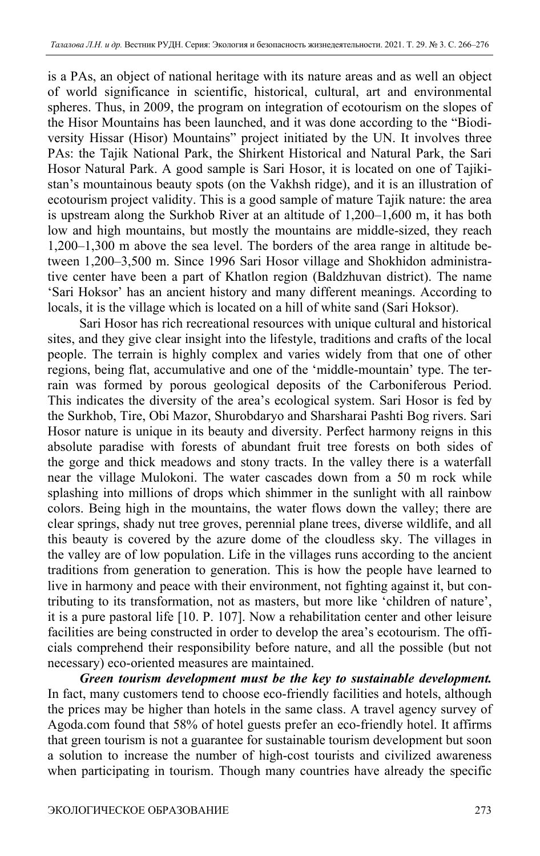is a PAs, an object of national heritage with its nature areas and as well an object of world significance in scientific, historical, cultural, art and environmental spheres. Thus, in 2009, the program on integration of ecotourism on the slopes of the Hisor Mountains has been launched, and it was done according to the "Biodiversity Hissar (Hisor) Mountains" project initiated by the UN. It involves three PAs: the Tajik National Park, the Shirkent Historical and Natural Park, the Sari Hosor Natural Park. A good sample is Sari Hosor, it is located on one of Tajikistan's mountainous beauty spots (on the Vakhsh ridge), and it is an illustration of ecotourism project validity. This is a good sample of mature Tajik nature: the area is upstream along the Surkhob River at an altitude of 1,200–1,600 m, it has both low and high mountains, but mostly the mountains are middle-sized, they reach 1,200–1,300 m above the sea level. The borders of the area range in altitude between 1,200–3,500 m. Since 1996 Sari Hosor village and Shokhidon administrative center have been a part of Khatlon region (Baldzhuvan district). The name 'Sari Hoksor' has an ancient history and many different meanings. According to locals, it is the village which is located on a hill of white sand (Sari Hoksor).

Sari Hosor has rich recreational resources with unique cultural and historical sites, and they give clear insight into the lifestyle, traditions and crafts of the local people. The terrain is highly complex and varies widely from that one of other regions, being flat, accumulative and one of the 'middle-mountain' type. The terrain was formed by porous geological deposits of the Carboniferous Period. This indicates the diversity of the area's ecological system. Sari Hosor is fed by the Surkhob, Tire, Obi Mazor, Shurobdaryo and Sharsharai Pashti Bog rivers. Sari Hosor nature is unique in its beauty and diversity. Perfect harmony reigns in this absolute paradise with forests of abundant fruit tree forests on both sides of the gorge and thick meadows and stony tracts. In the valley there is a waterfall near the village Mulokoni. The water cascades down from a 50 m rock while splashing into millions of drops which shimmer in the sunlight with all rainbow colors. Being high in the mountains, the water flows down the valley; there are clear springs, shady nut tree groves, perennial plane trees, diverse wildlife, and all this beauty is covered by the azure dome of the cloudless sky. The villages in the valley are of low population. Life in the villages runs according to the ancient traditions from generation to generation. This is how the people have learned to live in harmony and peace with their environment, not fighting against it, but contributing to its transformation, not as masters, but more like 'children of nature', it is a pure pastoral life [10. P. 107]. Now a rehabilitation center and other leisure facilities are being constructed in order to develop the area's ecotourism. The officials comprehend their responsibility before nature, and all the possible (but not necessary) eco-oriented measures are maintained.

*Green tourism development must be the key to sustainable development.* In fact, many customers tend to choose eco-friendly facilities and hotels, although the prices may be higher than hotels in the same class. A travel agency survey of Agoda.com found that 58% of hotel guests prefer an eco-friendly hotel. It affirms that green tourism is not a guarantee for sustainable tourism development but soon a solution to increase the number of high-cost tourists and civilized awareness when participating in tourism. Though many countries have already the specific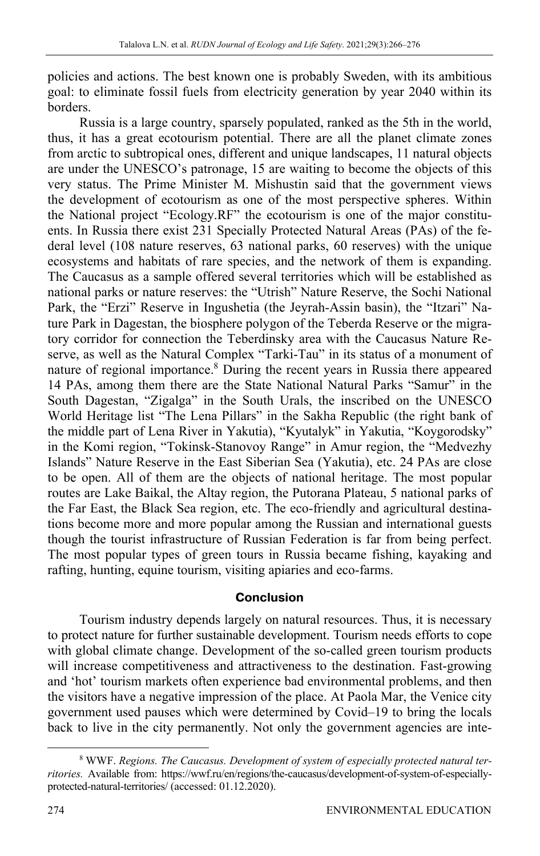policies and actions. The best known one is probably Sweden, with its ambitious goal: to eliminate fossil fuels from electricity generation by year 2040 within its borders.

Russia is a large country, sparsely populated, ranked as the 5th in the world, thus, it has a great ecotourism potential. There are all the planet climate zones from arctic to subtropical ones, different and unique landscapes, 11 natural objects are under the UNESCO's patronage, 15 are waiting to become the objects of this very status. The Prime Minister M. Mishustin said that the government views the development of ecotourism as one of the most perspective spheres. Within the National project "Ecology.RF" the ecotourism is one of the major constituents. In Russia there exist 231 Specially Protected Natural Areas (PAs) of the federal level (108 nature reserves, 63 national parks, 60 reserves) with the unique ecosystems and habitats of rare species, and the network of them is expanding. The Caucasus as a sample offered several territories which will be established as national parks or nature reserves: the "Utrish" Nature Reserve, the Sochi National Park, the "Erzi" Reserve in Ingushetia (the Jeyrah-Assin basin), the "Itzari" Nature Park in Dagestan, the biosphere polygon of the Teberda Reserve or the migratory corridor for connection the Teberdinsky area with the Caucasus Nature Reserve, as well as the Natural Complex "Tarki-Tau" in its status of a monument of nature of regional importance.<sup>8</sup> During the recent years in Russia there appeared 14 PAs, among them there are the State National Natural Parks "Samur" in the South Dagestan, "Zigalga" in the South Urals, the inscribed on the UNESCO World Heritage list "The Lena Pillars" in the Sakha Republic (the right bank of the middle part of Lena River in Yakutia), "Kyutalyk" in Yakutia, "Koygorodsky" in the Komi region, "Tokinsk-Stanovoy Range" in Amur region, the "Medvezhy Islands" Nature Reserve in the East Siberian Sea (Yakutia), etc. 24 PAs are close to be open. All of them are the objects of national heritage. The most popular routes are Lake Baikal, the Altay region, the Putorana Plateau, 5 national parks of the Far East, the Black Sea region, etc. The eco-friendly and agricultural destinations become more and more popular among the Russian and international guests though the tourist infrastructure of Russian Federation is far from being perfect. The most popular types of green tours in Russia became fishing, kayaking and rafting, hunting, equine tourism, visiting apiaries and eco-farms.

## **Conclusion**

Tourism industry depends largely on natural resources. Thus, it is necessary to protect nature for further sustainable development. Tourism needs efforts to cope with global climate change. Development of the so-called green tourism products will increase competitiveness and attractiveness to the destination. Fast-growing and 'hot' tourism markets often experience bad environmental problems, and then the visitors have a negative impression of the place. At Paola Mar, the Venice city government used pauses which were determined by Covid–19 to bring the locals back to live in the city permanently. Not only the government agencies are inte-

<sup>&</sup>lt;sup>8</sup> WWF. Regions. The Caucasus. Development of system of especially protected natural ter*ritories.* Available from: https://wwf.ru/en/regions/the-caucasus/development-of-system-of-especiallyprotected-natural-territories/ (accessed: 01.12.2020).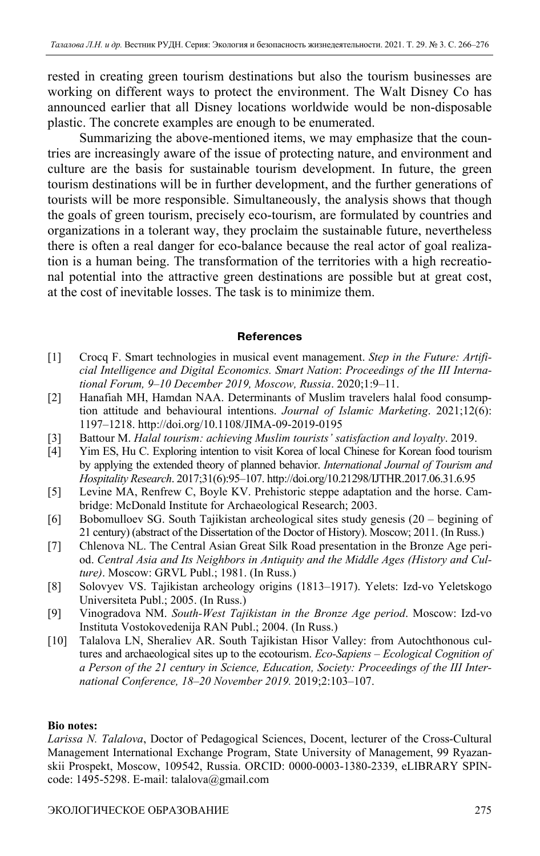rested in creating green tourism destinations but also the tourism businesses are working on different ways to protect the environment. The Walt Disney Co has announced earlier that all Disney locations worldwide would be non-disposable plastic. The concrete examples are enough to be enumerated.

Summarizing the above-mentioned items, we may emphasize that the countries are increasingly aware of the issue of protecting nature, and environment and culture are the basis for sustainable tourism development. In future, the green tourism destinations will be in further development, and the further generations of tourists will be more responsible. Simultaneously, the analysis shows that though the goals of green tourism, precisely eco-tourism, are formulated by countries and organizations in a tolerant way, they proclaim the sustainable future, nevertheless there is often a real danger for eco-balance because the real actor of goal realization is a human being. The transformation of the territories with a high recreational potential into the attractive green destinations are possible but at great cost, at the cost of inevitable losses. The task is to minimize them.

### **References**

- [1] Crocq F. Smart technologies in musical event management. *Step in the Future: Artificial Intelligence and Digital Economics. Smart Nation*: *Proceedings of the III International Forum, 9–10 December 2019, Moscow, Russia*. 2020;1:9–11.
- [2] Hanafiah MH, Hamdan NAA. Determinants of Muslim travelers halal food consumption attitude and behavioural intentions. *Journal of Islamic Marketing*. 2021;12(6): 1197–1218. http://doi.org/10.1108/JIMA-09-2019-0195
- [3] Battour M. *Halal tourism: achieving Muslim tourists' satisfaction and loyalty*. 2019.
- [4] Yim ES, Hu C. Exploring intention to visit Korea of local Chinese for Korean food tourism by applying the extended theory of planned behavior. *International Journal of Tourism and Hospitality Research*. 2017;31(6):95–107. http://doi.org/10.21298/IJTHR.2017.06.31.6.95
- [5] Levine MA, Renfrew C, Boyle KV. Prehistoric steppe adaptation and the horse. Cambridge: McDonald Institute for Archaeological Research; 2003.
- [6] Bobomulloev SG. South Tajikistan archeological sites study genesis (20 begining of 21 century) (abstract of the Dissertation of the Doctor of History). Мoscow; 2011. (In Russ.)
- [7] Chlenova NL. The Central Asian Great Silk Road presentation in the Bronze Age period. *Central Asia and Its Neighbors in Antiquity and the Middle Ages (History and Culture)*. Мoscow: GRVL Publ.; 1981. (In Russ.)
- [8] Solovyev VS. Tajikistan archeology origins (1813–1917). Yelets: Izd-vo Yeletskogo Universiteta Publ.; 2005. (In Russ.)
- [9] Vinogradova NM. *South-West Tajikistan in the Bronze Age period*. Moscow: Izd-vo Instituta Vostokovedenija RAN Publ.; 2004. (In Russ.)
- [10] Talalova LN, Sheraliev AR. South Tajikistan Hisor Valley: from Autochthonous cultures and archaeological sites up to the ecotourism. *Eco-Sapiens – Ecological Cognition of a Person of the 21 century in Science, Education, Society: Proceedings of the III International Conference, 18–20 November 2019.* 2019;2:103–107.

### **Bio notes:**

*Larissa N. Talalova*, Doctor of Pedagogical Sciences, Docent, lecturer of the Cross-Cultural Management International Exchange Program, State University of Management, 99 Ryazanskii Prospekt, Moscow, 109542, Russia. ORCID: 0000-0003-1380-2339, eLIBRARY SPINcode: 1495-5298. E-mail: talalova@gmail.com